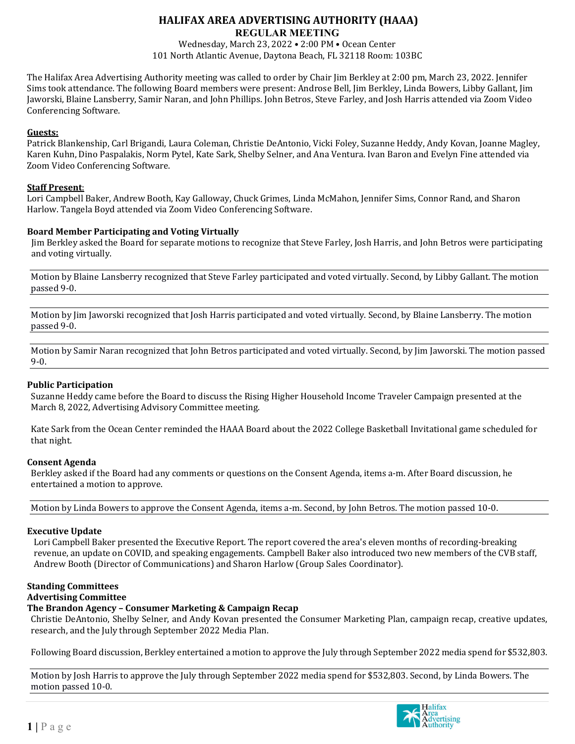# **HALIFAX AREA ADVERTISING AUTHORITY (HAAA)**

**REGULAR MEETING** 

Wednesday, March 23, 2022 • 2:00 PM • Ocean Center 101 North Atlantic Avenue, Daytona Beach, FL 32118 Room: 103BC

The Halifax Area Advertising Authority meeting was called to order by Chair Jim Berkley at 2:00 pm, March 23, 2022. Jennifer Sims took attendance. The following Board members were present: Androse Bell, Jim Berkley, Linda Bowers, Libby Gallant, Jim Jaworski, Blaine Lansberry, Samir Naran, and John Phillips. John Betros, Steve Farley, and Josh Harris attended via Zoom Video Conferencing Software.

# **Guests:**

Patrick Blankenship, Carl Brigandi, Laura Coleman, Christie DeAntonio, Vicki Foley, Suzanne Heddy, Andy Kovan, Joanne Magley, Karen Kuhn, Dino Paspalakis, Norm Pytel, Kate Sark, Shelby Selner, and Ana Ventura. Ivan Baron and Evelyn Fine attended via Zoom Video Conferencing Software.

## **Staff Present**:

Lori Campbell Baker, Andrew Booth, Kay Galloway, Chuck Grimes, Linda McMahon, Jennifer Sims, Connor Rand, and Sharon Harlow. Tangela Boyd attended via Zoom Video Conferencing Software.

## **Board Member Participating and Voting Virtually**

Jim Berkley asked the Board for separate motions to recognize that Steve Farley, Josh Harris, and John Betros were participating and voting virtually.

Motion by Blaine Lansberry recognized that Steve Farley participated and voted virtually. Second, by Libby Gallant. The motion passed 9-0.

Motion by Jim Jaworski recognized that Josh Harris participated and voted virtually. Second, by Blaine Lansberry. The motion passed 9-0.

Motion by Samir Naran recognized that John Betros participated and voted virtually. Second, by Jim Jaworski. The motion passed 9-0.

### **Public Participation**

Suzanne Heddy came before the Board to discuss the Rising Higher Household Income Traveler Campaign presented at the March 8, 2022, Advertising Advisory Committee meeting.

Kate Sark from the Ocean Center reminded the HAAA Board about the 2022 College Basketball Invitational game scheduled for that night.

### **Consent Agenda**

Berkley asked if the Board had any comments or questions on the Consent Agenda, items a-m. After Board discussion, he entertained a motion to approve.

Motion by Linda Bowers to approve the Consent Agenda, items a-m. Second, by John Betros. The motion passed 10-0.

### **Executive Update**

Lori Campbell Baker presented the Executive Report. The report covered the area's eleven months of recording-breaking revenue, an update on COVID, and speaking engagements. Campbell Baker also introduced two new members of the CVB staff, Andrew Booth (Director of Communications) and Sharon Harlow (Group Sales Coordinator).

#### **Standing Committees Advertising Committee**

# **The Brandon Agency – Consumer Marketing & Campaign Recap**

Christie DeAntonio, Shelby Selner, and Andy Kovan presented the Consumer Marketing Plan, campaign recap, creative updates, research, and the July through September 2022 Media Plan.

Following Board discussion, Berkley entertained a motion to approve the July through September 2022 media spend for \$532,803.

Motion by Josh Harris to approve the July through September 2022 media spend for \$532,803. Second, by Linda Bowers. The motion passed 10-0.

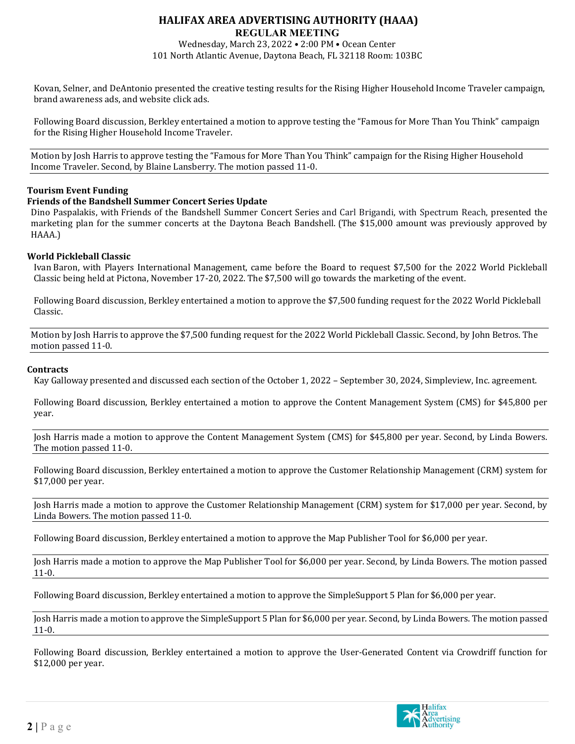### **HALIFAX AREA ADVERTISING AUTHORITY (HAAA) REGULAR MEETING**

Wednesday, March 23, 2022 • 2:00 PM • Ocean Center 101 North Atlantic Avenue, Daytona Beach, FL 32118 Room: 103BC

Kovan, Selner, and DeAntonio presented the creative testing results for the Rising Higher Household Income Traveler campaign, brand awareness ads, and website click ads.

Following Board discussion, Berkley entertained a motion to approve testing the "Famous for More Than You Think" campaign for the Rising Higher Household Income Traveler.

Motion by Josh Harris to approve testing the "Famous for More Than You Think" campaign for the Rising Higher Household Income Traveler. Second, by Blaine Lansberry. The motion passed 11-0.

#### **Tourism Event Funding**

#### **Friends of the Bandshell Summer Concert Series Update**

Dino Paspalakis, with Friends of the Bandshell Summer Concert Series and Carl Brigandi, with Spectrum Reach, presented the marketing plan for the summer concerts at the Daytona Beach Bandshell. (The \$15,000 amount was previously approved by HAAA.)

#### **World Pickleball Classic**

Ivan Baron, with Players International Management, came before the Board to request \$7,500 for the 2022 World Pickleball Classic being held at Pictona, November 17-20, 2022. The \$7,500 will go towards the marketing of the event.

Following Board discussion, Berkley entertained a motion to approve the \$7,500 funding request for the 2022 World Pickleball Classic.

Motion by Josh Harris to approve the \$7,500 funding request for the 2022 World Pickleball Classic. Second, by John Betros. The motion passed 11-0.

#### **Contracts**

Kay Galloway presented and discussed each section of the October 1, 2022 – September 30, 2024, Simpleview, Inc. agreement.

Following Board discussion, Berkley entertained a motion to approve the Content Management System (CMS) for \$45,800 per year.

Josh Harris made a motion to approve the Content Management System (CMS) for \$45,800 per year. Second, by Linda Bowers. The motion passed 11-0.

Following Board discussion, Berkley entertained a motion to approve the Customer Relationship Management (CRM) system for \$17,000 per year.

Josh Harris made a motion to approve the Customer Relationship Management (CRM) system for \$17,000 per year. Second, by Linda Bowers. The motion passed 11-0.

Following Board discussion, Berkley entertained a motion to approve the Map Publisher Tool for \$6,000 per year.

Josh Harris made a motion to approve the Map Publisher Tool for \$6,000 per year. Second, by Linda Bowers. The motion passed 11-0.

Following Board discussion, Berkley entertained a motion to approve the SimpleSupport 5 Plan for \$6,000 per year.

Josh Harris made a motion to approve the SimpleSupport 5 Plan for \$6,000 per year. Second, by Linda Bowers. The motion passed 11-0.

Following Board discussion, Berkley entertained a motion to approve the User-Generated Content via Crowdriff function for \$12,000 per year.

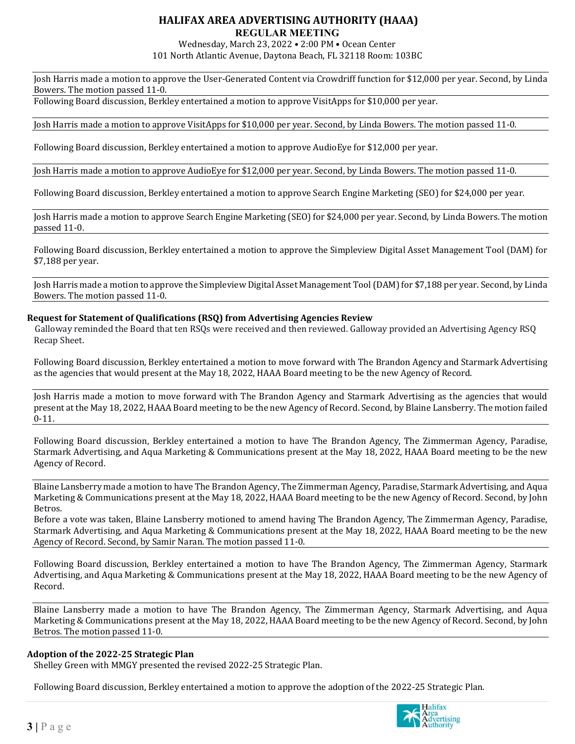# **HALIFAX AREA ADVERTISING AUTHORITY (HAAA)**

# **REGULAR MEETING**

Wednesday, March 23, 2022 • 2:00 PM • Ocean Center 101 North Atlantic Avenue, Daytona Beach, FL 32118 Room: 103BC

Josh Harris made a motion to approve the User-Generated Content via Crowdriff function for \$12,000 per year. Second, by Linda Bowers. The motion passed 11-0.

Following Board discussion, Berkley entertained a motion to approve VisitApps for \$10,000 per year.

Josh Harris made a motion to approve VisitApps for \$10,000 per year. Second, by Linda Bowers. The motion passed 11-0.

Following Board discussion, Berkley entertained a motion to approve AudioEye for \$12,000 per year.

Josh Harris made a motion to approve AudioEye for \$12,000 per year. Second, by Linda Bowers. The motion passed 11-0.

Following Board discussion, Berkley entertained a motion to approve Search Engine Marketing (SEO) for \$24,000 per year.

Josh Harris made a motion to approve Search Engine Marketing (SEO) for \$24,000 per year. Second, by Linda Bowers. The motion passed 11-0.

Following Board discussion, Berkley entertained a motion to approve the Simpleview Digital Asset Management Tool (DAM) for \$7,188 per year.

Josh Harris made a motion to approve the Simpleview Digital Asset Management Tool (DAM) for \$7,188 per year. Second, by Linda Bowers. The motion passed 11-0.

### **Request for Statement of Qualifications (RSQ) from Advertising Agencies Review**

Galloway reminded the Board that ten RSQs were received and then reviewed. Galloway provided an Advertising Agency RSQ Recap Sheet.

Following Board discussion, Berkley entertained a motion to move forward with The Brandon Agency and Starmark Advertising as the agencies that would present at the May 18, 2022, HAAA Board meeting to be the new Agency of Record.

Josh Harris made a motion to move forward with The Brandon Agency and Starmark Advertising as the agencies that would present at the May 18, 2022, HAAA Board meeting to be the new Agency of Record. Second, by Blaine Lansberry. The motion failed 0-11.

Following Board discussion, Berkley entertained a motion to have The Brandon Agency, The Zimmerman Agency, Paradise, Starmark Advertising, and Aqua Marketing & Communications present at the May 18, 2022, HAAA Board meeting to be the new Agency of Record.

Blaine Lansberry made a motion to have The Brandon Agency, The Zimmerman Agency, Paradise, Starmark Advertising, and Aqua Marketing & Communications present at the May 18, 2022, HAAA Board meeting to be the new Agency of Record. Second, by John Betros.

Before a vote was taken, Blaine Lansberry motioned to amend having The Brandon Agency, The Zimmerman Agency, Paradise, Starmark Advertising, and Aqua Marketing & Communications present at the May 18, 2022, HAAA Board meeting to be the new Agency of Record. Second, by Samir Naran. The motion passed 11-0.

Following Board discussion, Berkley entertained a motion to have The Brandon Agency, The Zimmerman Agency, Starmark Advertising, and Aqua Marketing & Communications present at the May 18, 2022, HAAA Board meeting to be the new Agency of Record.

Blaine Lansberry made a motion to have The Brandon Agency, The Zimmerman Agency, Starmark Advertising, and Aqua Marketing & Communications present at the May 18, 2022, HAAA Board meeting to be the new Agency of Record. Second, by John Betros. The motion passed 11-0.

### **Adoption of the 2022-25 Strategic Plan**

Shelley Green with MMGY presented the revised 2022-25 Strategic Plan.

Following Board discussion, Berkley entertained a motion to approve the adoption of the 2022-25 Strategic Plan.